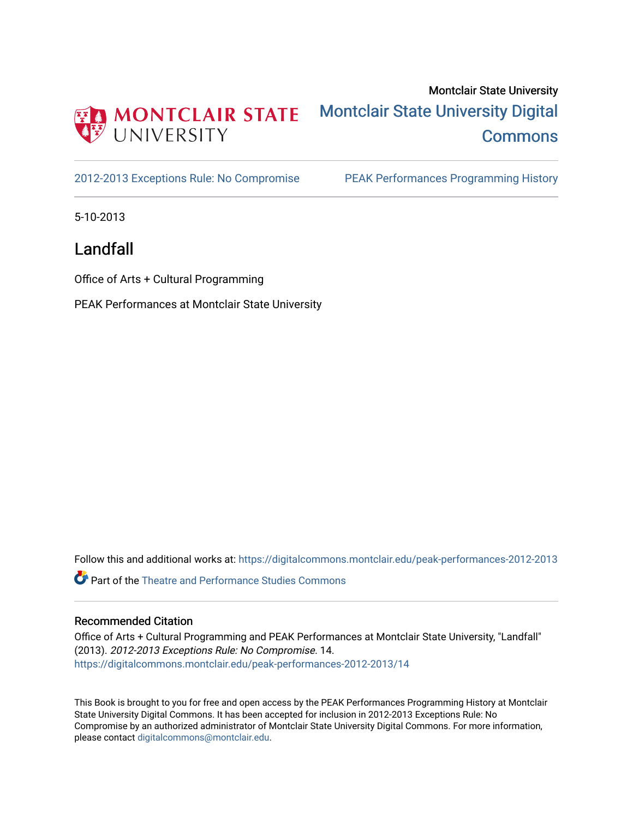

## Montclair State University [Montclair State University Digital](https://digitalcommons.montclair.edu/)  **Commons**

[2012-2013 Exceptions Rule: No Compromise](https://digitalcommons.montclair.edu/peak-performances-2012-2013) PEAK Performances Programming History

5-10-2013

Landfall

Office of Arts + Cultural Programming

PEAK Performances at Montclair State University

Follow this and additional works at: [https://digitalcommons.montclair.edu/peak-performances-2012-2013](https://digitalcommons.montclair.edu/peak-performances-2012-2013?utm_source=digitalcommons.montclair.edu%2Fpeak-performances-2012-2013%2F14&utm_medium=PDF&utm_campaign=PDFCoverPages) 

Part of the [Theatre and Performance Studies Commons](http://network.bepress.com/hgg/discipline/552?utm_source=digitalcommons.montclair.edu%2Fpeak-performances-2012-2013%2F14&utm_medium=PDF&utm_campaign=PDFCoverPages) 

## Recommended Citation

Office of Arts + Cultural Programming and PEAK Performances at Montclair State University, "Landfall" (2013). 2012-2013 Exceptions Rule: No Compromise. 14. [https://digitalcommons.montclair.edu/peak-performances-2012-2013/14](https://digitalcommons.montclair.edu/peak-performances-2012-2013/14?utm_source=digitalcommons.montclair.edu%2Fpeak-performances-2012-2013%2F14&utm_medium=PDF&utm_campaign=PDFCoverPages)

This Book is brought to you for free and open access by the PEAK Performances Programming History at Montclair State University Digital Commons. It has been accepted for inclusion in 2012-2013 Exceptions Rule: No Compromise by an authorized administrator of Montclair State University Digital Commons. For more information, please contact [digitalcommons@montclair.edu.](mailto:digitalcommons@montclair.edu)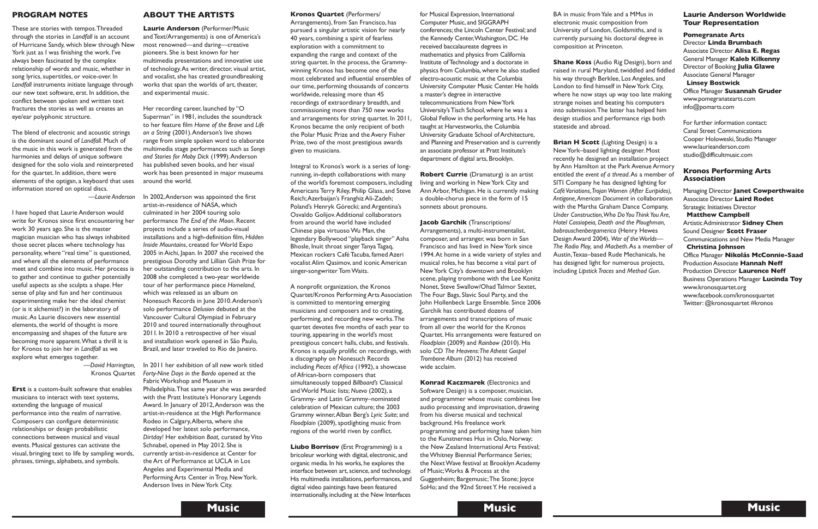**Kronos Quartet** (Performers/ Arrangements), from San Francisco, has pursued a singular artistic vision for nearly 40 years, combining a spirit of fearless exploration with a commitment to expanding the range and context of the string quartet. In the process, the Grammywinning Kronos has become one of the most celebrated and influential ensembles of our time, performing thousands of concerts worldwide, releasing more than 45 recordings of extraordinary breadth, and commissioning more than 750 new works and arrangements for string quartet. In 2011, Kronos became the only recipient of both the Polar Music Prize and the Avery Fisher Prize, two of the most prestigious awards given to musicians.

Integral to Kronos's work is a series of longrunning, in-depth collaborations with many of the world's foremost composers, including Americans Terry Riley, Philip Glass, and Steve Reich;Azerbaijan's Franghiz Ali-Zadeh; Poland's Henryk Górecki; and Argentina's Osvaldo Golijov.Additional collaborators from around the world have included Chinese pipa virtuosoWu Man, the legendary Bollywood "playback singer" Asha Bhosle, Inuit throat singer Tanya Tagaq, Mexican rockers Café Tacuba, famed Azeri vocalist Alim Qasimov, and iconic American singer-songwriter TomWaits.

**Liubo Borrisov** (Erst Programming) is a bricoleur working with digital, electronic, and organic media. In his works, he explores the interface between art, science, and technology. His multimedia installations, performances, and digital video paintings have been featured internationally, including at the New Interfaces

A nonprofit organization, the Kronos Quartet/Kronos Performing Arts Association is committed to mentoring emerging musicians and composers and to creating, performing, and recording new works.The quartet devotes five months of each year to touring, appearing in the world's most prestigious concert halls, clubs, and festivals. Kronos is equally prolific on recordings, with a discography on Nonesuch Records including *Pieces of Africa* (1992), a showcase of African-born composers that simultaneously topped *Billboard's* Classical andWorld Music lists; *Nuevo* (2002), a Grammy- and Latin Grammy–nominated celebration of Mexican culture; the 2003 Grammy winner,Alban Berg's *Lyric Suite*; and *Floodplain* (2009), spotlighting music from regions of the world riven by conflict.

**Konrad Kaczmarek** (Electronics and Software Design) is a composer, musician, and programmer whose music combines live audio processing and improvisation, drawing from his diverse musical and technical background. His freelance work programming and performing have taken him to the Kunstnernes Hus in Oslo, Norway; the New Zealand International Arts Festival; theWhitney Biennial Performance Series; the NextWave festival at Brooklyn Academy of Music;Works & Process at the Guggenheim; Bargemusic;The Stone; Joyce SoHo; and the 92nd Street Y. He received a

for Musical Expression, International Computer Music, and SIGGRAPH conferences; the Lincoln Center Festival; and the Kennedy Center, Washington, DC. He received baccalaureate degrees in mathematics and physics from California Institute ofTechnology and a doctorate in physics from Columbia, where he also studied electro-acoustic music at the Columbia University Computer Music Center. He holds a master's degree in interactive telecommunications from NewYork University's Tisch School, where he was a Global Fellow in the performing arts. He has taught at Harvestworks, the Columbia University Graduate School of Architecture, and Planning and Preservation and is currently an associate professor at Pratt Institute's department of digital arts, Brooklyn.

**Robert Currie** (Dramaturg) is an artist living and working in NewYork City and Ann Arbor, Michigan. He is currently making a double-chorus piece in the form of 15 sonnets about pronouns.

**Jacob Garchik** (Transcriptions/ Arrangements), a multi-instrumentalist, composer, and arranger, was born in San Francisco and has lived in NewYork since 1994.At home in a wide variety of styles and musical roles, he has become a vital part of NewYork City's downtown and Brooklyn scene, playing trombone with the Lee Konitz Nonet, Steve Swallow/Ohad Talmor Sextet, The Four Bags, Slavic Soul Party, and the John Hollenbeck Large Ensemble. Since 2006 Garchik has contributed dozens of arrangements and transcriptions of music from all over the world for the Kronos Quartet. His arrangements were featured on *Floodplain* (2009) and *Rainbow* (2010). His solo CD *The Heavens:The Atheist Gospel Trombone Album* (2012) has received wide acclaim.

BA in music fromYale and a MMus in electronic music composition from University of London, Goldsmiths, and is currently pursuing his doctoral degree in

composition at Princeton.

**Shane Koss** (Audio Rig Design), born and raised in rural Maryland, twiddled and fiddled his way through Berklee, Los Angeles, and London to find himself in New York City, where he now stays up way too late making strange noises and beating his computers into submission.The latter has helped him design studios and performance rigs both stateside and abroad.

**Brian H Scott** (Lighting Design) is a NewYork–based lighting designer. Most recently he designed an installation project by Ann Hamilton at the Park Avenue Armory entitled *the event of a thread*.As a member of SITI Company he has designed lighting for *Café Variations,TrojanWomen (After Euripides), Antigone,American Document* in collaboration with the Martha Graham Dance Company, *Under Construction,Who DoYou ThinkYou Are, Hotel Cassiopeia, Death and the Ploughman, bobrauschenbergamerica* (Henry Hewes Design Award 2004), *War of theWorlds— The Radio Play,* and *Macbeth*.As a member of Austin,Texas–based Rude Mechanicals, he has designed light for numerous projects, including *Lipstick Traces* and *Method Gun*.

## **Laurie Anderson Worldwide Tour Representation**

**Pomegranate Arts** Director **Linda Brumbach** Associate Director **Alisa E. Regas** General Manager **Kaleb Kilkenny** Director of Booking **Julia Glawe** Associate General Manager

**Linsey Bostwick** Office Manager **Susannah Gruder** www.pomegranatearts.com info@pomarts.com

For further information contact: Canal Street Communications Cooper Holoweski, Studio Manager www.laurieanderson.com studio@difficultmusic.com

## **Kronos Performing Arts Association**

Managing Director **Janet Cowperthwaite** Associate Director **Laird Rodet** Strategic Initiatives Director

**Matthew Campbell** ArtisticAdministrator **Sidney Chen** Sound Designer **Scott Fraser** Communications and New Media Manager **Christina Johnson** Office Manager **Nikolás McConnie-Saad** ProductionAssociate **Hannah Neff** Production Director **Laurence Neff** Business Operations Manager **Lucinda Toy** www.kronosquartet.org www.facebook.com/kronosquartet Twitter:@kronosquartet #kronos

## **PROGRAM NOTES**

These are stories with tempos.Threaded through the stories in *Landfall* is an account of Hurricane Sandy, which blew through New York just as I was finishing the work. I've always been fascinated by the complex relationship of words and music, whether in song lyrics, supertitles, or voice-over. In *Landfall* instruments initiate language through our new text software, erst. In addition, the conflict between spoken and written text fractures the stories as well as creates an eye/ear polyphonic structure.

The blend of electronic and acoustic strings is the dominant sound of *Landfall*. Much of the music in this work is generated from the harmonies and delays of unique software designed for the solo viola and reinterpreted for the quartet. In addition, there were elements of the optigan, a keyboard that uses information stored on optical discs.

*—Laurie Anderson*

I have hoped that Laurie Anderson would write for Kronos since first encountering her work 30 years ago. She is the master magician musician who has always inhabited those secret places where technology has personality, where "real time" is questioned, and where all the elements of performance meet and combine into music. Her process is to gather and continue to gather potentially useful aspects as she sculpts a shape. Her sense of play and fun and her continuous experimenting make her the ideal chemist (or is it alchemist?) in the laboratory of music.As Laurie discovers new essential elements, the world of thought is more encompassing and shapes of the future are becoming more apparent.What a thrill it is for Kronos to join her in *Landfall* as we explore what emerges together.

> *—David Harrington,* Kronos Quartet

**Erst** is a custom-built software that enables musicians to interact with text systems, extending the language of musical performance into the realm of narrative. Composers can configure deterministic relationships or design probabilistic connections between musical and visual events. Musical gestures can activate the visual, bringing text to life by sampling words, phrases, timings, alphabets, and symbols.

## **ABOUT THE ARTISTS**

**Laurie Anderson** (Performer/Music and Text/Arrangements) is one of America's most renowned—and daring—creative pioneers. She is best known for her multimedia presentations and innovative use of technology.As writer, director, visual artist, and vocalist, she has created groundbreaking works that span the worlds of art, theater, and experimental music.

Her recording career, launched by "O Superman" in 1981, includes the soundtrack to her feature film *Home of the Brave* and *Life on a String* (2001).Anderson's live shows range from simple spoken word to elaborate multimedia stage performances such as *Songs and Stories for Moby Dick* (1999).Anderson has published seven books, and her visual work has been presented in major museums around the world.

In 2002,Anderson was appointed the first artist-in-residence of NASA, which culminated in her 2004 touring solo performance *The End of the Moon*. Recent projects include a series of audio-visual installations and a high-definition film, *Hidden* **Inside Mountains, created for World Expo** 2005 in Aichi, Japan. In 2007 she received the prestigious Dorothy and Lillian Gish Prize for her outstanding contribution to the arts. In 2008 she completed a two-year worldwide tour of her performance piece *Homeland*, which was released as an album on Nonesuch Records in June 2010.Anderson's solo performance *Delusion* debuted at the Vancouver Cultural Olympiad in February 2010 and toured internationally throughout 2011. In 2010 a retrospective of her visual and installation work opened in São Paulo, Brazil, and later traveled to Rio de Janeiro.

In 2011 her exhibition of all new work titled *Forty-Nine Days in the Bardo* opened at the FabricWorkshop and Museum in Philadelphia.That same year she was awarded with the Pratt Institute's Honorary Legends Award. In January of 2012,Anderson was the artist-in-residence at the High Performance Rodeo in Calgary,Alberta, where she developed her latest solo performance, **Dirtday!** Her exhibition *Boat*, curated by Vito Schnabel, opened in May 2012. She is currently artist-in-residence at Center for the Art of Performance at UCLA in Los Angeles and Experimental Media and Performing Arts Center in Troy, New York. Anderson lives in NewYork City.